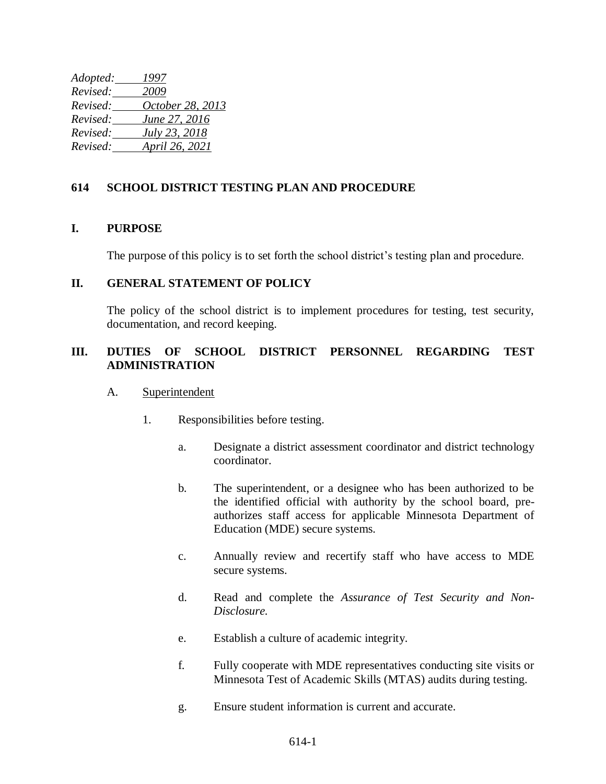*Adopted: 1997 Revised: 2009 Revised: October 28, 2013 Revised: June 27, 2016 Revised: July 23, 2018 Revised: April 26, 2021*

## **614 SCHOOL DISTRICT TESTING PLAN AND PROCEDURE**

## **I. PURPOSE**

The purpose of this policy is to set forth the school district's testing plan and procedure.

### **II. GENERAL STATEMENT OF POLICY**

The policy of the school district is to implement procedures for testing, test security, documentation, and record keeping.

# **III. DUTIES OF SCHOOL DISTRICT PERSONNEL REGARDING TEST ADMINISTRATION**

#### A. Superintendent

- 1. Responsibilities before testing.
	- a. Designate a district assessment coordinator and district technology coordinator.
	- b. The superintendent, or a designee who has been authorized to be the identified official with authority by the school board, preauthorizes staff access for applicable Minnesota Department of Education (MDE) secure systems.
	- c. Annually review and recertify staff who have access to MDE secure systems.
	- d. Read and complete the *Assurance of Test Security and Non-Disclosure.*
	- e. Establish a culture of academic integrity.
	- f. Fully cooperate with MDE representatives conducting site visits or Minnesota Test of Academic Skills (MTAS) audits during testing.
	- g. Ensure student information is current and accurate.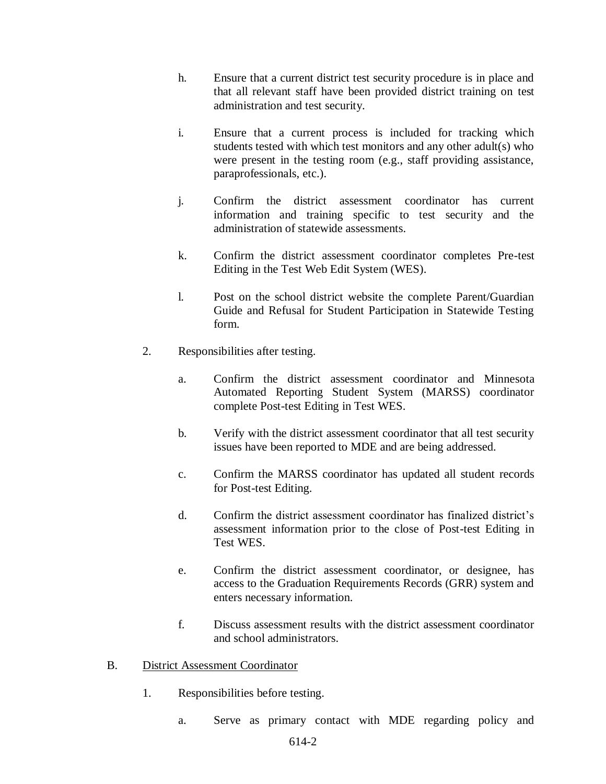- h. Ensure that a current district test security procedure is in place and that all relevant staff have been provided district training on test administration and test security.
- i. Ensure that a current process is included for tracking which students tested with which test monitors and any other adult(s) who were present in the testing room (e.g., staff providing assistance, paraprofessionals, etc.).
- j. Confirm the district assessment coordinator has current information and training specific to test security and the administration of statewide assessments.
- k. Confirm the district assessment coordinator completes Pre-test Editing in the Test Web Edit System (WES).
- l. Post on the school district website the complete Parent/Guardian Guide and Refusal for Student Participation in Statewide Testing form.
- 2. Responsibilities after testing.
	- a. Confirm the district assessment coordinator and Minnesota Automated Reporting Student System (MARSS) coordinator complete Post-test Editing in Test WES.
	- b. Verify with the district assessment coordinator that all test security issues have been reported to MDE and are being addressed.
	- c. Confirm the MARSS coordinator has updated all student records for Post-test Editing.
	- d. Confirm the district assessment coordinator has finalized district's assessment information prior to the close of Post-test Editing in Test WES.
	- e. Confirm the district assessment coordinator, or designee, has access to the Graduation Requirements Records (GRR) system and enters necessary information.
	- f. Discuss assessment results with the district assessment coordinator and school administrators.
- B. District Assessment Coordinator
	- 1. Responsibilities before testing.
		- a. Serve as primary contact with MDE regarding policy and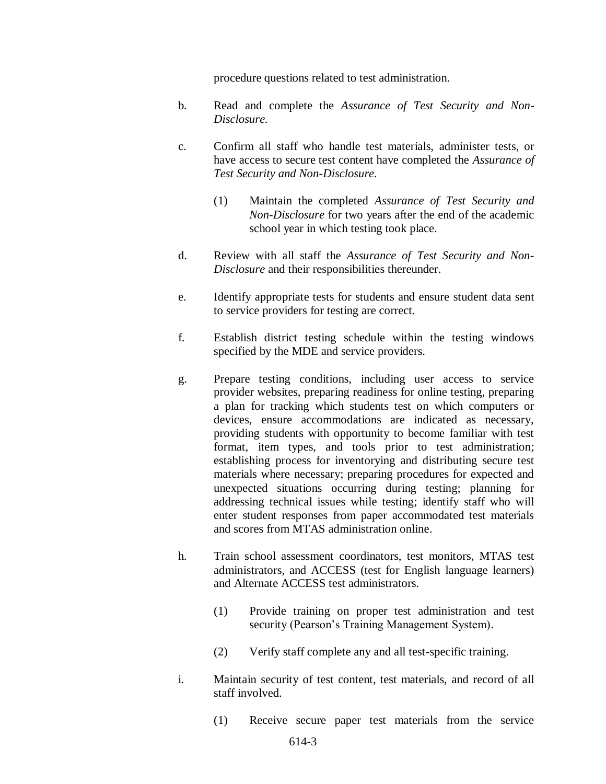procedure questions related to test administration.

- b. Read and complete the *Assurance of Test Security and Non-Disclosure.*
- c. Confirm all staff who handle test materials, administer tests, or have access to secure test content have completed the *Assurance of Test Security and Non-Disclosure*.
	- (1) Maintain the completed *Assurance of Test Security and Non-Disclosure* for two years after the end of the academic school year in which testing took place.
- d. Review with all staff the *Assurance of Test Security and Non-Disclosure* and their responsibilities thereunder.
- e. Identify appropriate tests for students and ensure student data sent to service providers for testing are correct.
- f. Establish district testing schedule within the testing windows specified by the MDE and service providers.
- g. Prepare testing conditions, including user access to service provider websites, preparing readiness for online testing, preparing a plan for tracking which students test on which computers or devices, ensure accommodations are indicated as necessary, providing students with opportunity to become familiar with test format, item types, and tools prior to test administration; establishing process for inventorying and distributing secure test materials where necessary; preparing procedures for expected and unexpected situations occurring during testing; planning for addressing technical issues while testing; identify staff who will enter student responses from paper accommodated test materials and scores from MTAS administration online.
- h. Train school assessment coordinators, test monitors, MTAS test administrators, and ACCESS (test for English language learners) and Alternate ACCESS test administrators.
	- (1) Provide training on proper test administration and test security (Pearson's Training Management System).
	- (2) Verify staff complete any and all test-specific training.
- i. Maintain security of test content, test materials, and record of all staff involved.
	- (1) Receive secure paper test materials from the service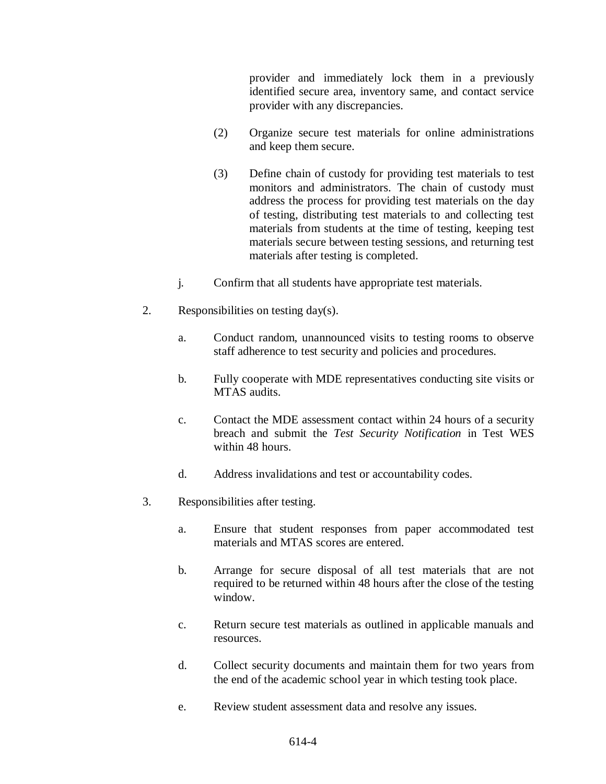provider and immediately lock them in a previously identified secure area, inventory same, and contact service provider with any discrepancies.

- (2) Organize secure test materials for online administrations and keep them secure.
- (3) Define chain of custody for providing test materials to test monitors and administrators. The chain of custody must address the process for providing test materials on the day of testing, distributing test materials to and collecting test materials from students at the time of testing, keeping test materials secure between testing sessions, and returning test materials after testing is completed.
- j. Confirm that all students have appropriate test materials.
- 2. Responsibilities on testing day(s).
	- a. Conduct random, unannounced visits to testing rooms to observe staff adherence to test security and policies and procedures.
	- b. Fully cooperate with MDE representatives conducting site visits or MTAS audits.
	- c. Contact the MDE assessment contact within 24 hours of a security breach and submit the *Test Security Notification* in Test WES within 48 hours.
	- d. Address invalidations and test or accountability codes.
- 3. Responsibilities after testing.
	- a. Ensure that student responses from paper accommodated test materials and MTAS scores are entered.
	- b. Arrange for secure disposal of all test materials that are not required to be returned within 48 hours after the close of the testing window.
	- c. Return secure test materials as outlined in applicable manuals and resources.
	- d. Collect security documents and maintain them for two years from the end of the academic school year in which testing took place.
	- e. Review student assessment data and resolve any issues.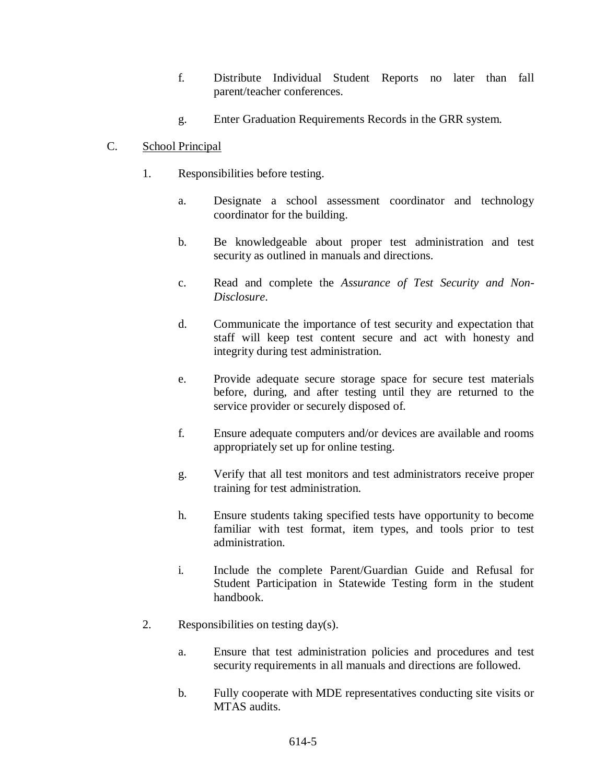- f. Distribute Individual Student Reports no later than fall parent/teacher conferences.
- g. Enter Graduation Requirements Records in the GRR system.

# C. School Principal

- 1. Responsibilities before testing.
	- a. Designate a school assessment coordinator and technology coordinator for the building.
	- b. Be knowledgeable about proper test administration and test security as outlined in manuals and directions.
	- c. Read and complete the *Assurance of Test Security and Non-Disclosure*.
	- d. Communicate the importance of test security and expectation that staff will keep test content secure and act with honesty and integrity during test administration.
	- e. Provide adequate secure storage space for secure test materials before, during, and after testing until they are returned to the service provider or securely disposed of.
	- f. Ensure adequate computers and/or devices are available and rooms appropriately set up for online testing.
	- g. Verify that all test monitors and test administrators receive proper training for test administration.
	- h. Ensure students taking specified tests have opportunity to become familiar with test format, item types, and tools prior to test administration.
	- i. Include the complete Parent/Guardian Guide and Refusal for Student Participation in Statewide Testing form in the student handbook.
- 2. Responsibilities on testing day(s).
	- a. Ensure that test administration policies and procedures and test security requirements in all manuals and directions are followed.
	- b. Fully cooperate with MDE representatives conducting site visits or MTAS audits.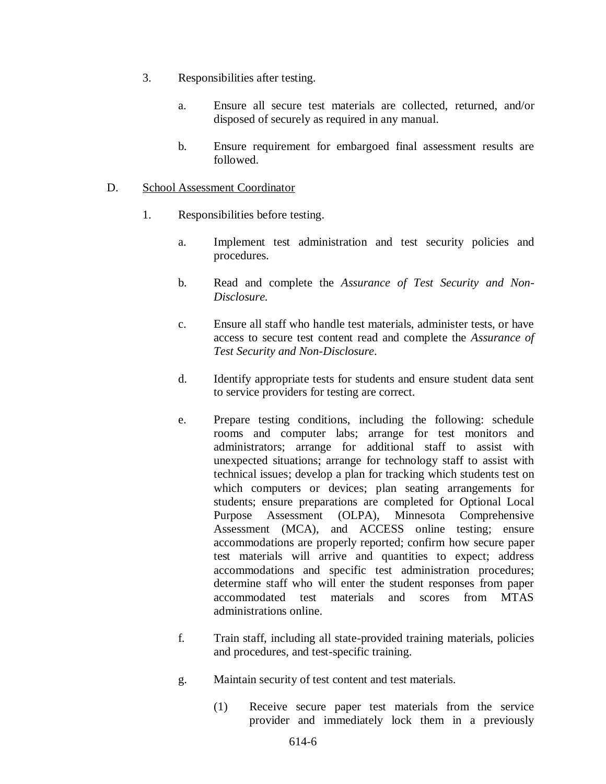- 3. Responsibilities after testing.
	- a. Ensure all secure test materials are collected, returned, and/or disposed of securely as required in any manual.
	- b. Ensure requirement for embargoed final assessment results are followed.

### D. School Assessment Coordinator

- 1. Responsibilities before testing.
	- a. Implement test administration and test security policies and procedures.
	- b. Read and complete the *Assurance of Test Security and Non-Disclosure.*
	- c. Ensure all staff who handle test materials, administer tests, or have access to secure test content read and complete the *Assurance of Test Security and Non-Disclosure*.
	- d. Identify appropriate tests for students and ensure student data sent to service providers for testing are correct.
	- e. Prepare testing conditions, including the following: schedule rooms and computer labs; arrange for test monitors and administrators; arrange for additional staff to assist with unexpected situations; arrange for technology staff to assist with technical issues; develop a plan for tracking which students test on which computers or devices; plan seating arrangements for students; ensure preparations are completed for Optional Local Purpose Assessment (OLPA), Minnesota Comprehensive Assessment (MCA), and ACCESS online testing; ensure accommodations are properly reported; confirm how secure paper test materials will arrive and quantities to expect; address accommodations and specific test administration procedures; determine staff who will enter the student responses from paper accommodated test materials and scores from MTAS administrations online.
	- f. Train staff, including all state-provided training materials, policies and procedures, and test-specific training.
	- g. Maintain security of test content and test materials.
		- (1) Receive secure paper test materials from the service provider and immediately lock them in a previously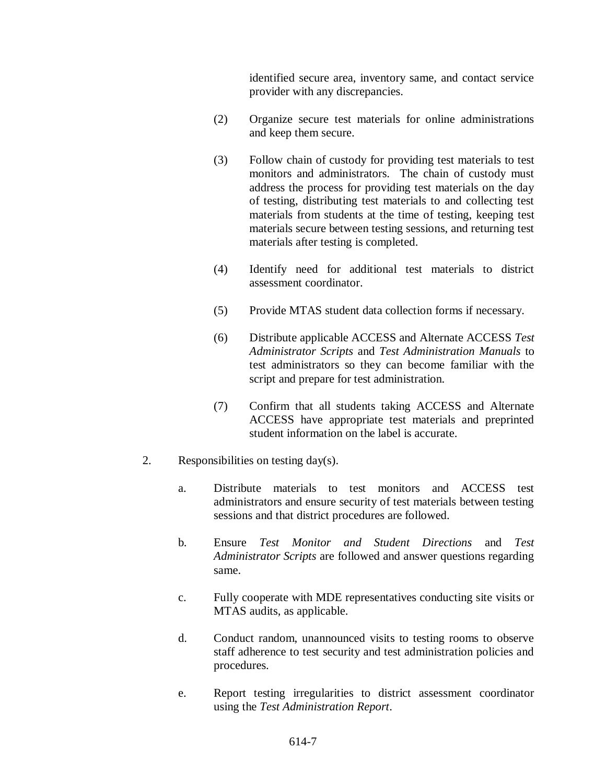identified secure area, inventory same, and contact service provider with any discrepancies.

- (2) Organize secure test materials for online administrations and keep them secure.
- (3) Follow chain of custody for providing test materials to test monitors and administrators. The chain of custody must address the process for providing test materials on the day of testing, distributing test materials to and collecting test materials from students at the time of testing, keeping test materials secure between testing sessions, and returning test materials after testing is completed.
- (4) Identify need for additional test materials to district assessment coordinator.
- (5) Provide MTAS student data collection forms if necessary.
- (6) Distribute applicable ACCESS and Alternate ACCESS *Test Administrator Scripts* and *Test Administration Manuals* to test administrators so they can become familiar with the script and prepare for test administration.
- (7) Confirm that all students taking ACCESS and Alternate ACCESS have appropriate test materials and preprinted student information on the label is accurate.
- 2. Responsibilities on testing day(s).
	- a. Distribute materials to test monitors and ACCESS test administrators and ensure security of test materials between testing sessions and that district procedures are followed.
	- b. Ensure *Test Monitor and Student Directions* and *Test Administrator Scripts* are followed and answer questions regarding same.
	- c. Fully cooperate with MDE representatives conducting site visits or MTAS audits, as applicable.
	- d. Conduct random, unannounced visits to testing rooms to observe staff adherence to test security and test administration policies and procedures.
	- e. Report testing irregularities to district assessment coordinator using the *Test Administration Report*.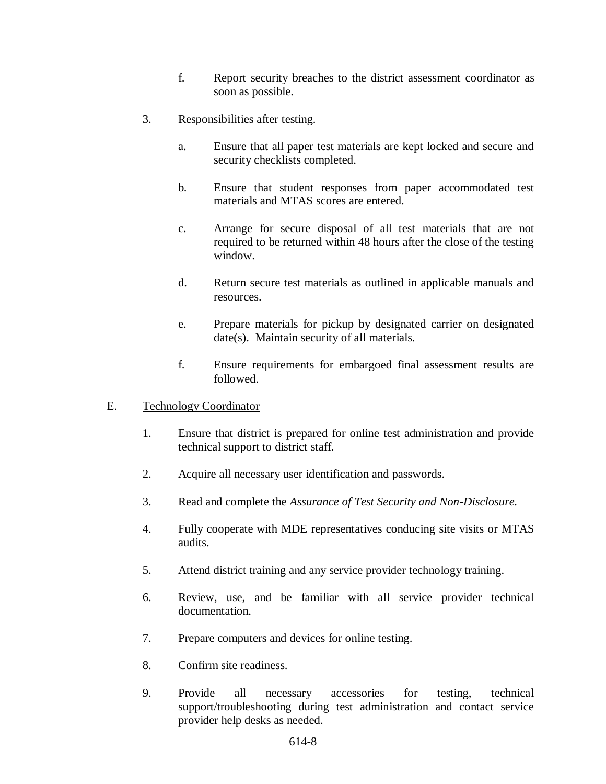- f. Report security breaches to the district assessment coordinator as soon as possible.
- 3. Responsibilities after testing.
	- a. Ensure that all paper test materials are kept locked and secure and security checklists completed.
	- b. Ensure that student responses from paper accommodated test materials and MTAS scores are entered.
	- c. Arrange for secure disposal of all test materials that are not required to be returned within 48 hours after the close of the testing window.
	- d. Return secure test materials as outlined in applicable manuals and resources.
	- e. Prepare materials for pickup by designated carrier on designated date(s). Maintain security of all materials.
	- f. Ensure requirements for embargoed final assessment results are followed.
- E. Technology Coordinator
	- 1. Ensure that district is prepared for online test administration and provide technical support to district staff.
	- 2. Acquire all necessary user identification and passwords.
	- 3. Read and complete the *Assurance of Test Security and Non-Disclosure.*
	- 4. Fully cooperate with MDE representatives conducing site visits or MTAS audits.
	- 5. Attend district training and any service provider technology training.
	- 6. Review, use, and be familiar with all service provider technical documentation.
	- 7. Prepare computers and devices for online testing.
	- 8. Confirm site readiness.
	- 9. Provide all necessary accessories for testing, technical support/troubleshooting during test administration and contact service provider help desks as needed.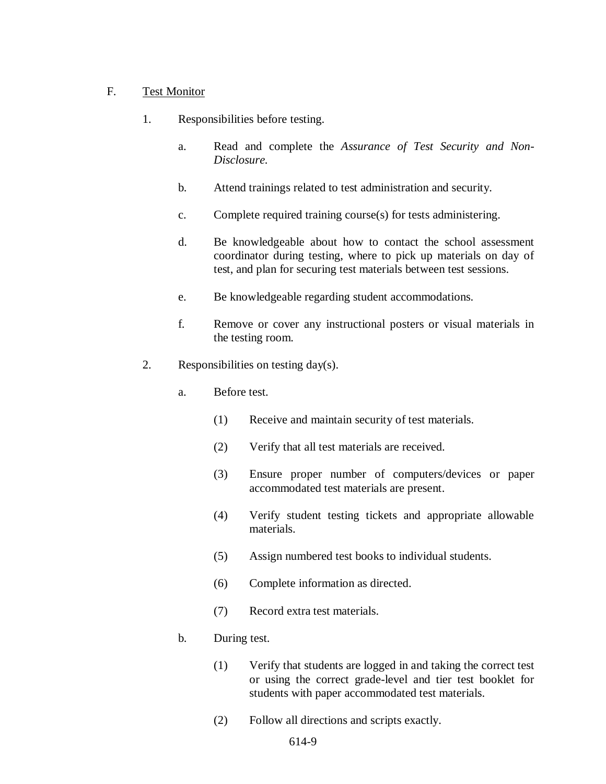### F. Test Monitor

- 1. Responsibilities before testing.
	- a. Read and complete the *Assurance of Test Security and Non-Disclosure.*
	- b. Attend trainings related to test administration and security.
	- c. Complete required training course(s) for tests administering.
	- d. Be knowledgeable about how to contact the school assessment coordinator during testing, where to pick up materials on day of test, and plan for securing test materials between test sessions.
	- e. Be knowledgeable regarding student accommodations.
	- f. Remove or cover any instructional posters or visual materials in the testing room.
- 2. Responsibilities on testing day(s).
	- a. Before test.
		- (1) Receive and maintain security of test materials.
		- (2) Verify that all test materials are received.
		- (3) Ensure proper number of computers/devices or paper accommodated test materials are present.
		- (4) Verify student testing tickets and appropriate allowable materials.
		- (5) Assign numbered test books to individual students.
		- (6) Complete information as directed.
		- (7) Record extra test materials.

### b. During test.

- (1) Verify that students are logged in and taking the correct test or using the correct grade-level and tier test booklet for students with paper accommodated test materials.
- (2) Follow all directions and scripts exactly.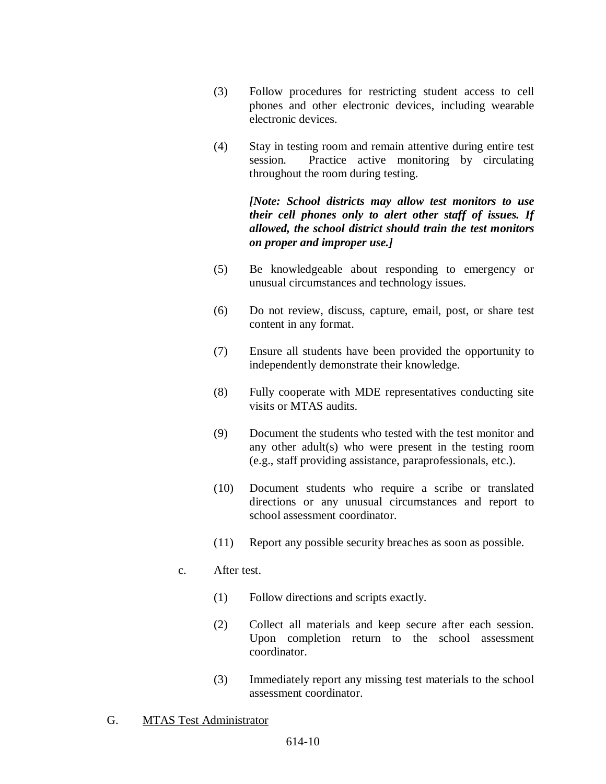- (3) Follow procedures for restricting student access to cell phones and other electronic devices, including wearable electronic devices.
- (4) Stay in testing room and remain attentive during entire test session. Practice active monitoring by circulating throughout the room during testing.

# *[Note: School districts may allow test monitors to use their cell phones only to alert other staff of issues. If allowed, the school district should train the test monitors on proper and improper use.]*

- (5) Be knowledgeable about responding to emergency or unusual circumstances and technology issues.
- (6) Do not review, discuss, capture, email, post, or share test content in any format.
- (7) Ensure all students have been provided the opportunity to independently demonstrate their knowledge.
- (8) Fully cooperate with MDE representatives conducting site visits or MTAS audits.
- (9) Document the students who tested with the test monitor and any other adult(s) who were present in the testing room (e.g., staff providing assistance, paraprofessionals, etc.).
- (10) Document students who require a scribe or translated directions or any unusual circumstances and report to school assessment coordinator.
- (11) Report any possible security breaches as soon as possible.

# c. After test.

- (1) Follow directions and scripts exactly.
- (2) Collect all materials and keep secure after each session. Upon completion return to the school assessment coordinator.
- (3) Immediately report any missing test materials to the school assessment coordinator.
- G. MTAS Test Administrator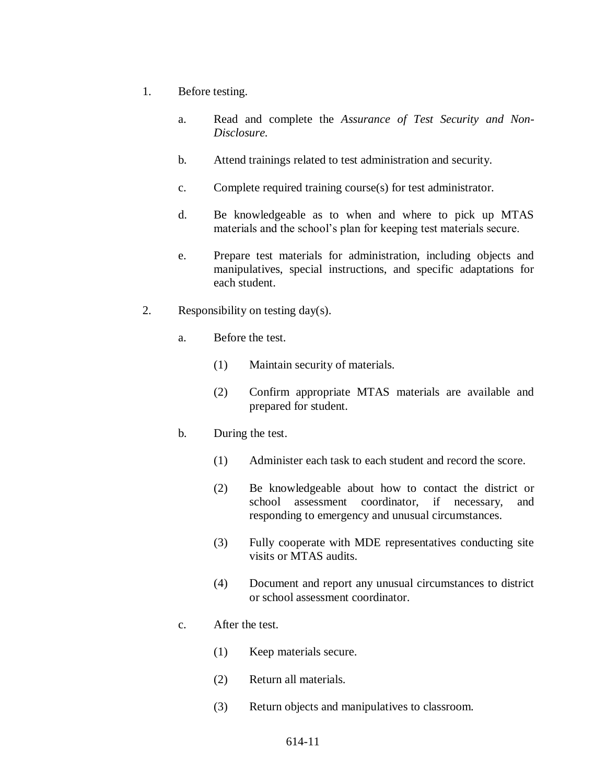- 1. Before testing.
	- a. Read and complete the *Assurance of Test Security and Non-Disclosure.*
	- b. Attend trainings related to test administration and security.
	- c. Complete required training course(s) for test administrator.
	- d. Be knowledgeable as to when and where to pick up MTAS materials and the school's plan for keeping test materials secure.
	- e. Prepare test materials for administration, including objects and manipulatives, special instructions, and specific adaptations for each student.
- 2. Responsibility on testing day(s).
	- a. Before the test.
		- (1) Maintain security of materials.
		- (2) Confirm appropriate MTAS materials are available and prepared for student.
	- b. During the test.
		- (1) Administer each task to each student and record the score.
		- (2) Be knowledgeable about how to contact the district or school assessment coordinator, if necessary, and responding to emergency and unusual circumstances.
		- (3) Fully cooperate with MDE representatives conducting site visits or MTAS audits.
		- (4) Document and report any unusual circumstances to district or school assessment coordinator.
	- c. After the test.
		- (1) Keep materials secure.
		- (2) Return all materials.
		- (3) Return objects and manipulatives to classroom.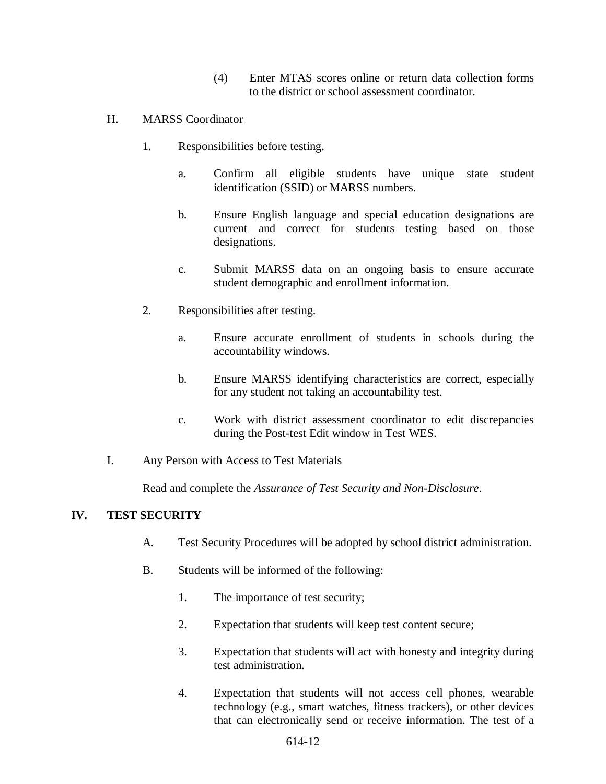(4) Enter MTAS scores online or return data collection forms to the district or school assessment coordinator.

## H. MARSS Coordinator

- 1. Responsibilities before testing.
	- a. Confirm all eligible students have unique state student identification (SSID) or MARSS numbers.
	- b. Ensure English language and special education designations are current and correct for students testing based on those designations.
	- c. Submit MARSS data on an ongoing basis to ensure accurate student demographic and enrollment information.
- 2. Responsibilities after testing.
	- a. Ensure accurate enrollment of students in schools during the accountability windows.
	- b. Ensure MARSS identifying characteristics are correct, especially for any student not taking an accountability test.
	- c. Work with district assessment coordinator to edit discrepancies during the Post-test Edit window in Test WES.
- I. Any Person with Access to Test Materials

Read and complete the *Assurance of Test Security and Non-Disclosure*.

### **IV. TEST SECURITY**

- A. Test Security Procedures will be adopted by school district administration.
- B. Students will be informed of the following:
	- 1. The importance of test security;
	- 2. Expectation that students will keep test content secure;
	- 3. Expectation that students will act with honesty and integrity during test administration.
	- 4. Expectation that students will not access cell phones, wearable technology (e.g., smart watches, fitness trackers), or other devices that can electronically send or receive information. The test of a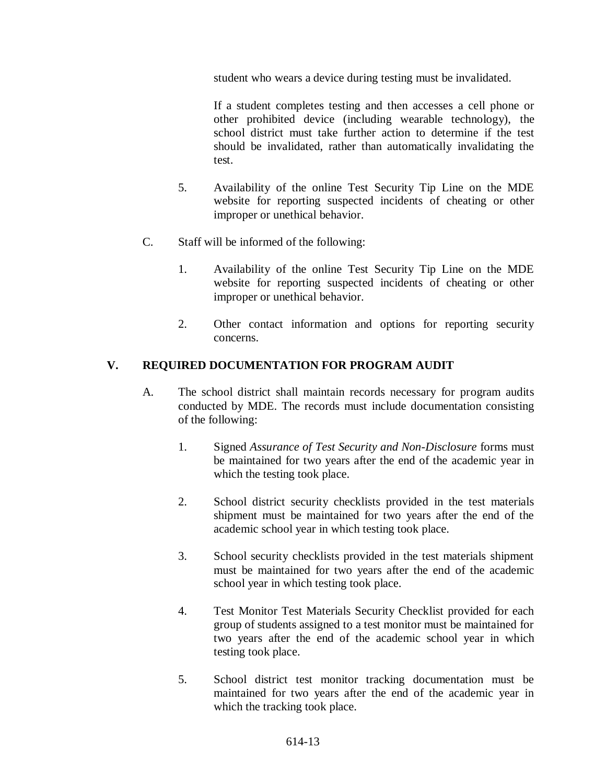student who wears a device during testing must be invalidated.

If a student completes testing and then accesses a cell phone or other prohibited device (including wearable technology), the school district must take further action to determine if the test should be invalidated, rather than automatically invalidating the test.

- 5. Availability of the online Test Security Tip Line on the MDE website for reporting suspected incidents of cheating or other improper or unethical behavior.
- C. Staff will be informed of the following:
	- 1. Availability of the online Test Security Tip Line on the MDE website for reporting suspected incidents of cheating or other improper or unethical behavior.
	- 2. Other contact information and options for reporting security concerns.

# **V. REQUIRED DOCUMENTATION FOR PROGRAM AUDIT**

- A. The school district shall maintain records necessary for program audits conducted by MDE. The records must include documentation consisting of the following:
	- 1. Signed *Assurance of Test Security and Non-Disclosure* forms must be maintained for two years after the end of the academic year in which the testing took place.
	- 2. School district security checklists provided in the test materials shipment must be maintained for two years after the end of the academic school year in which testing took place.
	- 3. School security checklists provided in the test materials shipment must be maintained for two years after the end of the academic school year in which testing took place.
	- 4. Test Monitor Test Materials Security Checklist provided for each group of students assigned to a test monitor must be maintained for two years after the end of the academic school year in which testing took place.
	- 5. School district test monitor tracking documentation must be maintained for two years after the end of the academic year in which the tracking took place.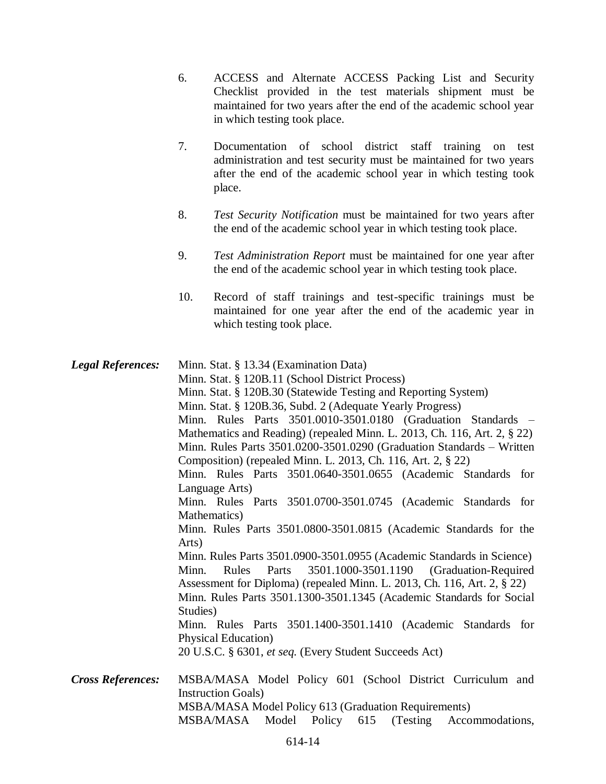- 6. ACCESS and Alternate ACCESS Packing List and Security Checklist provided in the test materials shipment must be maintained for two years after the end of the academic school year in which testing took place.
- 7. Documentation of school district staff training on test administration and test security must be maintained for two years after the end of the academic school year in which testing took place.
- 8. *Test Security Notification* must be maintained for two years after the end of the academic school year in which testing took place.
- 9. *Test Administration Report* must be maintained for one year after the end of the academic school year in which testing took place.
- 10. Record of staff trainings and test-specific trainings must be maintained for one year after the end of the academic year in which testing took place.
- *Legal References:* Minn. Stat. § 13.34 (Examination Data) Minn. Stat. § 120B.11 (School District Process) Minn. Stat. § 120B.30 (Statewide Testing and Reporting System) Minn. Stat. § 120B.36, Subd. 2 (Adequate Yearly Progress) Minn. Rules Parts 3501.0010-3501.0180 (Graduation Standards – Mathematics and Reading) (repealed Minn. L. 2013, Ch. 116, Art. 2, § 22) Minn. Rules Parts 3501.0200-3501.0290 (Graduation Standards – Written Composition) (repealed Minn. L. 2013, Ch. 116, Art. 2, § 22) Minn. Rules Parts 3501.0640-3501.0655 (Academic Standards for Language Arts) Minn. Rules Parts 3501.0700-3501.0745 (Academic Standards for Mathematics) Minn. Rules Parts 3501.0800-3501.0815 (Academic Standards for the Arts) Minn. Rules Parts 3501.0900-3501.0955 (Academic Standards in Science) Minn. Rules Parts 3501.1000-3501.1190 (Graduation-Required Assessment for Diploma) (repealed Minn. L. 2013, Ch. 116, Art. 2, § 22) Minn. Rules Parts 3501.1300-3501.1345 (Academic Standards for Social Studies) Minn. Rules Parts 3501.1400-3501.1410 (Academic Standards for Physical Education) 20 U.S.C. § 6301, *et seq.* (Every Student Succeeds Act) *Cross References:* MSBA/MASA Model Policy 601 (School District Curriculum and Instruction Goals) MSBA/MASA Model Policy 613 (Graduation Requirements)